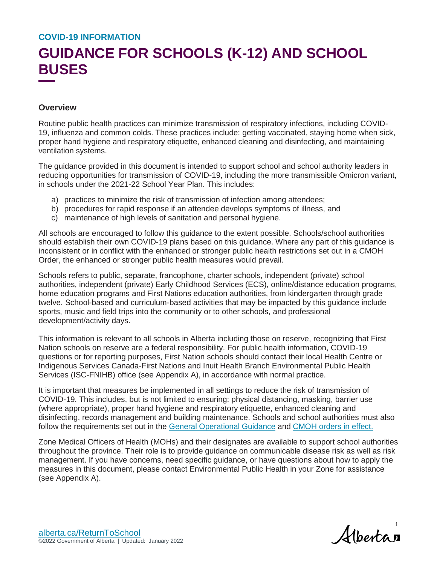## **GUIDANCE FOR SCHOOLS (K-12) AND SCHOOL BUSES**

### **Overview**

Routine public health practices can minimize transmission of respiratory infections, including COVID-19, influenza and common colds. These practices include: getting vaccinated, staying home when sick, proper hand hygiene and respiratory etiquette, enhanced cleaning and disinfecting, and maintaining ventilation systems.

The guidance provided in this document is intended to support school and school authority leaders in reducing opportunities for transmission of COVID-19, including the more transmissible Omicron variant, in schools under the 2021-22 School Year Plan. This includes:

- a) practices to minimize the risk of transmission of infection among attendees;
- b) procedures for rapid response if an attendee develops symptoms of illness, and
- c) maintenance of high levels of sanitation and personal hygiene.

All schools are encouraged to follow this guidance to the extent possible. Schools/school authorities should establish their own COVID-19 plans based on this guidance. Where any part of this guidance is inconsistent or in conflict with the enhanced or stronger public health restrictions set out in a CMOH Order, the enhanced or stronger public health measures would prevail.

Schools refers to public, separate, francophone, charter schools, independent (private) school authorities, independent (private) Early Childhood Services (ECS), online/distance education programs, home education programs and First Nations education authorities, from kindergarten through grade twelve. School-based and curriculum-based activities that may be impacted by this guidance include sports, music and field trips into the community or to other schools, and professional development/activity days.

This information is relevant to all schools in Alberta including those on reserve, recognizing that First Nation schools on reserve are a federal responsibility. For public health information, COVID-19 questions or for reporting purposes, First Nation schools should contact their local Health Centre or Indigenous Services Canada-First Nations and Inuit Health Branch Environmental Public Health Services (ISC-FNIHB) office (see Appendix A), in accordance with normal practice.

It is important that measures be implemented in all settings to reduce the risk of transmission of COVID-19. This includes, but is not limited to ensuring: physical distancing, masking, barrier use (where appropriate), proper hand hygiene and respiratory etiquette, enhanced cleaning and disinfecting, records management and building maintenance. Schools and school authorities must also follow the requirements set out in the [General Operational Guidance](https://open.alberta.ca/publications/covid-19-information-general-operational-guidance) and [CMOH orders in effect.](https://www.alberta.ca/covid-19-orders-and-legislation.aspx)

Zone Medical Officers of Health (MOHs) and their designates are available to support school authorities throughout the province. Their role is to provide guidance on communicable disease risk as well as risk management. If you have concerns, need specific guidance, or have questions about how to apply the measures in this document, please contact Environmental Public Health in your Zone for assistance (see Appendix A).

Albertan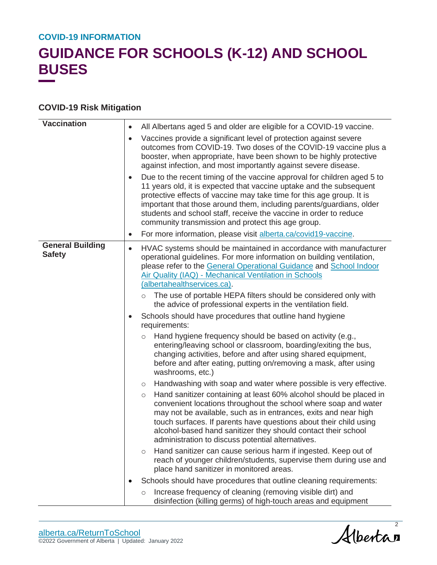## **GUIDANCE FOR SCHOOLS (K-12) AND SCHOOL BUSES**

### **COVID-19 Risk Mitigation**

| <b>Vaccination</b>                       | ٠         | All Albertans aged 5 and older are eligible for a COVID-19 vaccine.                                                                                                                                                                                                                                                                                                                                                        |
|------------------------------------------|-----------|----------------------------------------------------------------------------------------------------------------------------------------------------------------------------------------------------------------------------------------------------------------------------------------------------------------------------------------------------------------------------------------------------------------------------|
|                                          | $\bullet$ | Vaccines provide a significant level of protection against severe<br>outcomes from COVID-19. Two doses of the COVID-19 vaccine plus a<br>booster, when appropriate, have been shown to be highly protective<br>against infection, and most importantly against severe disease.                                                                                                                                             |
|                                          |           | Due to the recent timing of the vaccine approval for children aged 5 to<br>11 years old, it is expected that vaccine uptake and the subsequent<br>protective effects of vaccine may take time for this age group. It is<br>important that those around them, including parents/guardians, older<br>students and school staff, receive the vaccine in order to reduce<br>community transmission and protect this age group. |
|                                          | ٠         | For more information, please visit alberta.ca/covid19-vaccine.                                                                                                                                                                                                                                                                                                                                                             |
| <b>General Building</b><br><b>Safety</b> | $\bullet$ | HVAC systems should be maintained in accordance with manufacturer<br>operational guidelines. For more information on building ventilation,<br>please refer to the General Operational Guidance and School Indoor<br><b>Air Quality (IAQ) - Mechanical Ventilation in Schools</b><br>(albertahealthservices.ca).                                                                                                            |
|                                          |           | The use of portable HEPA filters should be considered only with<br>$\circ$<br>the advice of professional experts in the ventilation field.                                                                                                                                                                                                                                                                                 |
|                                          |           | Schools should have procedures that outline hand hygiene<br>requirements:                                                                                                                                                                                                                                                                                                                                                  |
|                                          |           | Hand hygiene frequency should be based on activity (e.g.,<br>$\circ$<br>entering/leaving school or classroom, boarding/exiting the bus,<br>changing activities, before and after using shared equipment,<br>before and after eating, putting on/removing a mask, after using<br>washrooms, etc.)                                                                                                                           |
|                                          |           | Handwashing with soap and water where possible is very effective.<br>$\circlearrowright$                                                                                                                                                                                                                                                                                                                                   |
|                                          |           | Hand sanitizer containing at least 60% alcohol should be placed in<br>$\circ$<br>convenient locations throughout the school where soap and water<br>may not be available, such as in entrances, exits and near high<br>touch surfaces. If parents have questions about their child using<br>alcohol-based hand sanitizer they should contact their school<br>administration to discuss potential alternatives.             |
|                                          |           | Hand sanitizer can cause serious harm if ingested. Keep out of<br>O<br>reach of younger children/students, supervise them during use and<br>place hand sanitizer in monitored areas.                                                                                                                                                                                                                                       |
|                                          |           | Schools should have procedures that outline cleaning requirements:                                                                                                                                                                                                                                                                                                                                                         |
|                                          |           | Increase frequency of cleaning (removing visible dirt) and<br>$\circ$<br>disinfection (killing germs) of high-touch areas and equipment                                                                                                                                                                                                                                                                                    |

Albertan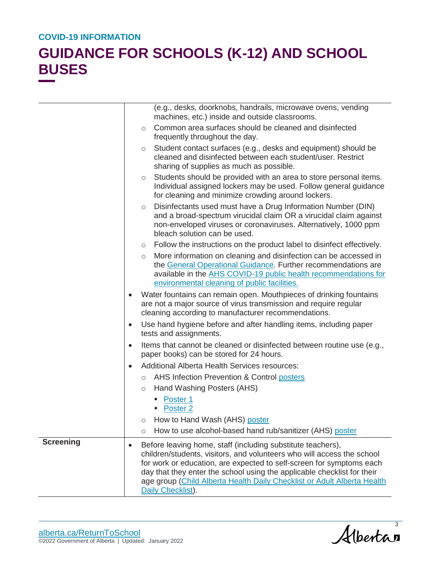|                  |           | (e.g., desks, doorknobs, handrails, microwave ovens, vending<br>machines, etc.) inside and outside classrooms.                                                                                                                                                                                                                                                                           |
|------------------|-----------|------------------------------------------------------------------------------------------------------------------------------------------------------------------------------------------------------------------------------------------------------------------------------------------------------------------------------------------------------------------------------------------|
|                  | $\circ$   | Common area surfaces should be cleaned and disinfected<br>frequently throughout the day.                                                                                                                                                                                                                                                                                                 |
|                  | $\circ$   | Student contact surfaces (e.g., desks and equipment) should be<br>cleaned and disinfected between each student/user. Restrict<br>sharing of supplies as much as possible.                                                                                                                                                                                                                |
|                  | O         | Students should be provided with an area to store personal items.<br>Individual assigned lockers may be used. Follow general guidance<br>for cleaning and minimize crowding around lockers.                                                                                                                                                                                              |
|                  | $\circ$   | Disinfectants used must have a Drug Information Number (DIN)<br>and a broad-spectrum virucidal claim OR a virucidal claim against<br>non-enveloped viruses or coronaviruses. Alternatively, 1000 ppm<br>bleach solution can be used.                                                                                                                                                     |
|                  |           | $\circ$ Follow the instructions on the product label to disinfect effectively.                                                                                                                                                                                                                                                                                                           |
|                  | $\circ$   | More information on cleaning and disinfection can be accessed in<br>the General Operational Guidance. Further recommendations are<br>available in the AHS COVID-19 public health recommendations for<br>environmental cleaning of public facilities.                                                                                                                                     |
|                  | $\bullet$ | Water fountains can remain open. Mouthpieces of drinking fountains<br>are not a major source of virus transmission and require regular<br>cleaning according to manufacturer recommendations.                                                                                                                                                                                            |
|                  | $\bullet$ | Use hand hygiene before and after handling items, including paper<br>tests and assignments.                                                                                                                                                                                                                                                                                              |
|                  | $\bullet$ | Items that cannot be cleaned or disinfected between routine use (e.g.,<br>paper books) can be stored for 24 hours.                                                                                                                                                                                                                                                                       |
|                  | $\bullet$ | Additional Alberta Health Services resources:                                                                                                                                                                                                                                                                                                                                            |
|                  |           | o AHS Infection Prevention & Control posters                                                                                                                                                                                                                                                                                                                                             |
|                  | $\circ$   | Hand Washing Posters (AHS)                                                                                                                                                                                                                                                                                                                                                               |
|                  |           | Poster 1<br>٠<br>Poster <sub>2</sub>                                                                                                                                                                                                                                                                                                                                                     |
|                  | $\circ$   | How to Hand Wash (AHS) poster                                                                                                                                                                                                                                                                                                                                                            |
|                  | $\circ$   | How to use alcohol-based hand rub/sanitizer (AHS) poster                                                                                                                                                                                                                                                                                                                                 |
| <b>Screening</b> | $\bullet$ | Before leaving home, staff (including substitute teachers),<br>children/students, visitors, and volunteers who will access the school<br>for work or education, are expected to self-screen for symptoms each<br>day that they enter the school using the applicable checklist for their<br>age group (Child Alberta Health Daily Checklist or Adult Alberta Health<br>Daily Checklist). |

Albertas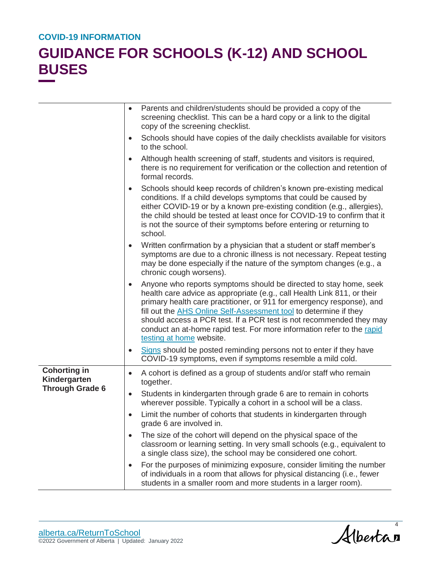|                                     | $\bullet$ | Parents and children/students should be provided a copy of the<br>screening checklist. This can be a hard copy or a link to the digital<br>copy of the screening checklist.                                                                                                                                                                                                                                                                                             |
|-------------------------------------|-----------|-------------------------------------------------------------------------------------------------------------------------------------------------------------------------------------------------------------------------------------------------------------------------------------------------------------------------------------------------------------------------------------------------------------------------------------------------------------------------|
|                                     | $\bullet$ | Schools should have copies of the daily checklists available for visitors<br>to the school.                                                                                                                                                                                                                                                                                                                                                                             |
|                                     | $\bullet$ | Although health screening of staff, students and visitors is required,<br>there is no requirement for verification or the collection and retention of<br>formal records.                                                                                                                                                                                                                                                                                                |
|                                     | $\bullet$ | Schools should keep records of children's known pre-existing medical<br>conditions. If a child develops symptoms that could be caused by<br>either COVID-19 or by a known pre-existing condition (e.g., allergies),<br>the child should be tested at least once for COVID-19 to confirm that it<br>is not the source of their symptoms before entering or returning to<br>school.                                                                                       |
|                                     | $\bullet$ | Written confirmation by a physician that a student or staff member's<br>symptoms are due to a chronic illness is not necessary. Repeat testing<br>may be done especially if the nature of the symptom changes (e.g., a<br>chronic cough worsens).                                                                                                                                                                                                                       |
|                                     | $\bullet$ | Anyone who reports symptoms should be directed to stay home, seek<br>health care advice as appropriate (e.g., call Health Link 811, or their<br>primary health care practitioner, or 911 for emergency response), and<br>fill out the AHS Online Self-Assessment tool to determine if they<br>should access a PCR test. If a PCR test is not recommended they may<br>conduct an at-home rapid test. For more information refer to the rapid<br>testing at home website. |
|                                     | ٠         | Signs should be posted reminding persons not to enter if they have<br>COVID-19 symptoms, even if symptoms resemble a mild cold.                                                                                                                                                                                                                                                                                                                                         |
| <b>Cohorting in</b><br>Kindergarten | $\bullet$ | A cohort is defined as a group of students and/or staff who remain<br>together.                                                                                                                                                                                                                                                                                                                                                                                         |
| <b>Through Grade 6</b>              | $\bullet$ | Students in kindergarten through grade 6 are to remain in cohorts<br>wherever possible. Typically a cohort in a school will be a class.                                                                                                                                                                                                                                                                                                                                 |
|                                     |           | Limit the number of cohorts that students in kindergarten through<br>grade 6 are involved in.                                                                                                                                                                                                                                                                                                                                                                           |
|                                     | $\bullet$ | The size of the cohort will depend on the physical space of the<br>classroom or learning setting. In very small schools (e.g., equivalent to<br>a single class size), the school may be considered one cohort.                                                                                                                                                                                                                                                          |
|                                     | $\bullet$ | For the purposes of minimizing exposure, consider limiting the number<br>of individuals in a room that allows for physical distancing (i.e., fewer<br>students in a smaller room and more students in a larger room).                                                                                                                                                                                                                                                   |

Albertan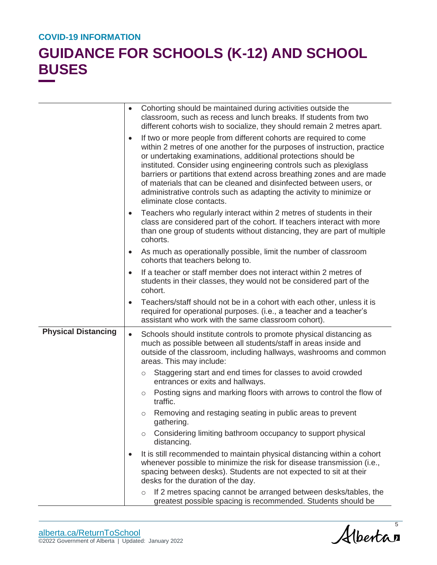|                            | $\bullet$ | Cohorting should be maintained during activities outside the<br>classroom, such as recess and lunch breaks. If students from two<br>different cohorts wish to socialize, they should remain 2 metres apart.                                                                                                                                                                                                                                                                                                                               |
|----------------------------|-----------|-------------------------------------------------------------------------------------------------------------------------------------------------------------------------------------------------------------------------------------------------------------------------------------------------------------------------------------------------------------------------------------------------------------------------------------------------------------------------------------------------------------------------------------------|
|                            | $\bullet$ | If two or more people from different cohorts are required to come<br>within 2 metres of one another for the purposes of instruction, practice<br>or undertaking examinations, additional protections should be<br>instituted. Consider using engineering controls such as plexiglass<br>barriers or partitions that extend across breathing zones and are made<br>of materials that can be cleaned and disinfected between users, or<br>administrative controls such as adapting the activity to minimize or<br>eliminate close contacts. |
|                            | ٠         | Teachers who regularly interact within 2 metres of students in their<br>class are considered part of the cohort. If teachers interact with more<br>than one group of students without distancing, they are part of multiple<br>cohorts.                                                                                                                                                                                                                                                                                                   |
|                            | ٠         | As much as operationally possible, limit the number of classroom<br>cohorts that teachers belong to.                                                                                                                                                                                                                                                                                                                                                                                                                                      |
|                            | $\bullet$ | If a teacher or staff member does not interact within 2 metres of<br>students in their classes, they would not be considered part of the<br>cohort.                                                                                                                                                                                                                                                                                                                                                                                       |
|                            | $\bullet$ | Teachers/staff should not be in a cohort with each other, unless it is<br>required for operational purposes. (i.e., a teacher and a teacher's<br>assistant who work with the same classroom cohort).                                                                                                                                                                                                                                                                                                                                      |
| <b>Physical Distancing</b> | $\bullet$ | Schools should institute controls to promote physical distancing as<br>much as possible between all students/staff in areas inside and<br>outside of the classroom, including hallways, washrooms and common<br>areas. This may include:                                                                                                                                                                                                                                                                                                  |
|                            |           | Staggering start and end times for classes to avoid crowded<br>$\circ$<br>entrances or exits and hallways.                                                                                                                                                                                                                                                                                                                                                                                                                                |
|                            |           | Posting signs and marking floors with arrows to control the flow of<br>$\circ$<br>traffic.                                                                                                                                                                                                                                                                                                                                                                                                                                                |
|                            |           | Removing and restaging seating in public areas to prevent<br>O<br>gathering.                                                                                                                                                                                                                                                                                                                                                                                                                                                              |
|                            |           | Considering limiting bathroom occupancy to support physical<br>$\circ$<br>distancing.                                                                                                                                                                                                                                                                                                                                                                                                                                                     |
|                            | $\bullet$ | It is still recommended to maintain physical distancing within a cohort<br>whenever possible to minimize the risk for disease transmission (i.e.,<br>spacing between desks). Students are not expected to sit at their<br>desks for the duration of the day.                                                                                                                                                                                                                                                                              |
|                            |           | If 2 metres spacing cannot be arranged between desks/tables, the<br>$\circ$<br>greatest possible spacing is recommended. Students should be                                                                                                                                                                                                                                                                                                                                                                                               |

Albertan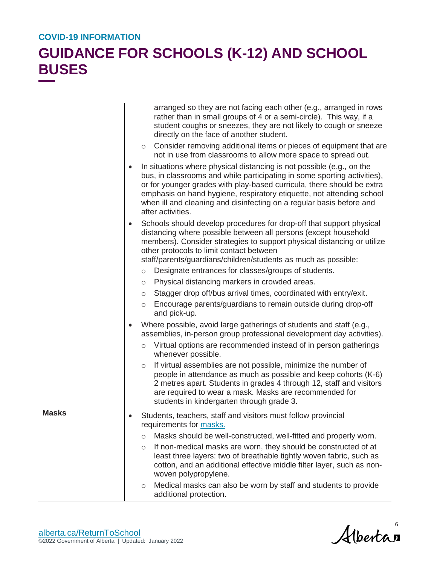|              | arranged so they are not facing each other (e.g., arranged in rows<br>rather than in small groups of 4 or a semi-circle). This way, if a<br>student coughs or sneezes, they are not likely to cough or sneeze<br>directly on the face of another student.                                                                                                                                                      |
|--------------|----------------------------------------------------------------------------------------------------------------------------------------------------------------------------------------------------------------------------------------------------------------------------------------------------------------------------------------------------------------------------------------------------------------|
|              | Consider removing additional items or pieces of equipment that are<br>$\circ$<br>not in use from classrooms to allow more space to spread out.                                                                                                                                                                                                                                                                 |
|              | In situations where physical distancing is not possible (e.g., on the<br>$\bullet$<br>bus, in classrooms and while participating in some sporting activities),<br>or for younger grades with play-based curricula, there should be extra<br>emphasis on hand hygiene, respiratory etiquette, not attending school<br>when ill and cleaning and disinfecting on a regular basis before and<br>after activities. |
|              | Schools should develop procedures for drop-off that support physical<br>$\bullet$<br>distancing where possible between all persons (except household<br>members). Consider strategies to support physical distancing or utilize<br>other protocols to limit contact between<br>staff/parents/guardians/children/students as much as possible:                                                                  |
|              | Designate entrances for classes/groups of students.<br>$\circ$                                                                                                                                                                                                                                                                                                                                                 |
|              | Physical distancing markers in crowded areas.<br>$\circ$                                                                                                                                                                                                                                                                                                                                                       |
|              | Stagger drop off/bus arrival times, coordinated with entry/exit.<br>$\circ$                                                                                                                                                                                                                                                                                                                                    |
|              | Encourage parents/guardians to remain outside during drop-off<br>$\circ$<br>and pick-up.                                                                                                                                                                                                                                                                                                                       |
|              | Where possible, avoid large gatherings of students and staff (e.g.,<br>$\bullet$<br>assemblies, in-person group professional development day activities).                                                                                                                                                                                                                                                      |
|              | Virtual options are recommended instead of in person gatherings<br>$\circ$<br>whenever possible.                                                                                                                                                                                                                                                                                                               |
|              | If virtual assemblies are not possible, minimize the number of<br>$\circ$<br>people in attendance as much as possible and keep cohorts (K-6)<br>2 metres apart. Students in grades 4 through 12, staff and visitors<br>are required to wear a mask. Masks are recommended for<br>students in kindergarten through grade 3.                                                                                     |
| <b>Masks</b> | Students, teachers, staff and visitors must follow provincial<br>$\bullet$<br>requirements for masks.                                                                                                                                                                                                                                                                                                          |
|              | Masks should be well-constructed, well-fitted and properly worn.<br>$\circ$                                                                                                                                                                                                                                                                                                                                    |
|              | If non-medical masks are worn, they should be constructed of at<br>$\circ$<br>least three layers: two of breathable tightly woven fabric, such as<br>cotton, and an additional effective middle filter layer, such as non-<br>woven polypropylene.                                                                                                                                                             |
|              | Medical masks can also be worn by staff and students to provide<br>$\circ$<br>additional protection.                                                                                                                                                                                                                                                                                                           |

Albertan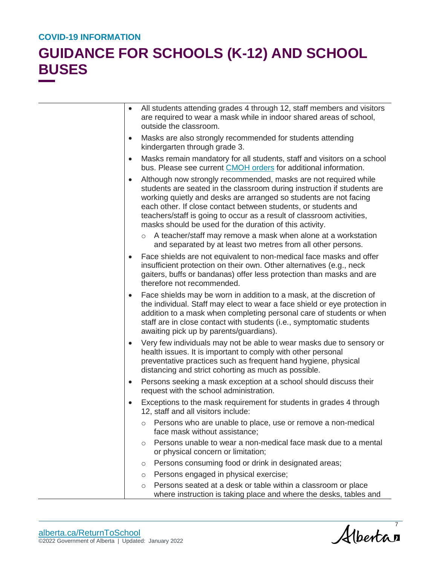| $\bullet$ | All students attending grades 4 through 12, staff members and visitors<br>are required to wear a mask while in indoor shared areas of school,<br>outside the classroom.                                                                                                                                                                                                                                               |
|-----------|-----------------------------------------------------------------------------------------------------------------------------------------------------------------------------------------------------------------------------------------------------------------------------------------------------------------------------------------------------------------------------------------------------------------------|
| $\bullet$ | Masks are also strongly recommended for students attending<br>kindergarten through grade 3.                                                                                                                                                                                                                                                                                                                           |
| $\bullet$ | Masks remain mandatory for all students, staff and visitors on a school<br>bus. Please see current CMOH orders for additional information.                                                                                                                                                                                                                                                                            |
| $\bullet$ | Although now strongly recommended, masks are not required while<br>students are seated in the classroom during instruction if students are<br>working quietly and desks are arranged so students are not facing<br>each other. If close contact between students, or students and<br>teachers/staff is going to occur as a result of classroom activities,<br>masks should be used for the duration of this activity. |
|           | A teacher/staff may remove a mask when alone at a workstation<br>$\circ$<br>and separated by at least two metres from all other persons.                                                                                                                                                                                                                                                                              |
|           | Face shields are not equivalent to non-medical face masks and offer<br>insufficient protection on their own. Other alternatives (e.g., neck<br>gaiters, buffs or bandanas) offer less protection than masks and are<br>therefore not recommended.                                                                                                                                                                     |
|           | Face shields may be worn in addition to a mask, at the discretion of<br>the individual. Staff may elect to wear a face shield or eye protection in<br>addition to a mask when completing personal care of students or when<br>staff are in close contact with students (i.e., symptomatic students<br>awaiting pick up by parents/guardians).                                                                         |
|           | Very few individuals may not be able to wear masks due to sensory or<br>health issues. It is important to comply with other personal<br>preventative practices such as frequent hand hygiene, physical<br>distancing and strict cohorting as much as possible.                                                                                                                                                        |
| $\bullet$ | Persons seeking a mask exception at a school should discuss their<br>request with the school administration.                                                                                                                                                                                                                                                                                                          |
| $\bullet$ | Exceptions to the mask requirement for students in grades 4 through<br>12, staff and all visitors include:                                                                                                                                                                                                                                                                                                            |
|           | Persons who are unable to place, use or remove a non-medical<br>O<br>face mask without assistance;                                                                                                                                                                                                                                                                                                                    |
|           | Persons unable to wear a non-medical face mask due to a mental<br>$\circ$<br>or physical concern or limitation;                                                                                                                                                                                                                                                                                                       |
|           | Persons consuming food or drink in designated areas;<br>$\circ$                                                                                                                                                                                                                                                                                                                                                       |
|           | Persons engaged in physical exercise;<br>$\circ$                                                                                                                                                                                                                                                                                                                                                                      |
|           | Persons seated at a desk or table within a classroom or place<br>$\circ$<br>where instruction is taking place and where the desks, tables and                                                                                                                                                                                                                                                                         |

Albertan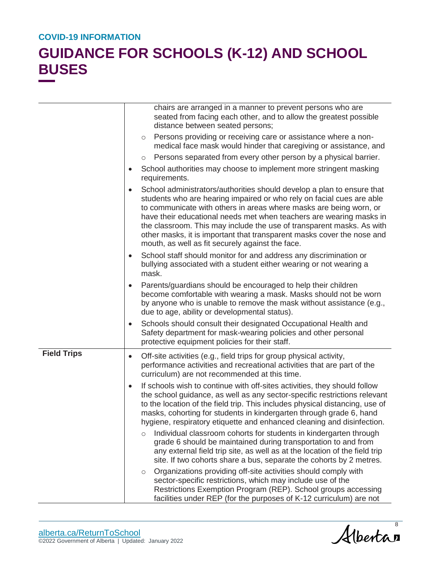|                    | chairs are arranged in a manner to prevent persons who are<br>seated from facing each other, and to allow the greatest possible<br>distance between seated persons;                                                                                                                                                                                                                                                                                                                                                                                                                                                                                                                                         |
|--------------------|-------------------------------------------------------------------------------------------------------------------------------------------------------------------------------------------------------------------------------------------------------------------------------------------------------------------------------------------------------------------------------------------------------------------------------------------------------------------------------------------------------------------------------------------------------------------------------------------------------------------------------------------------------------------------------------------------------------|
|                    | Persons providing or receiving care or assistance where a non-<br>$\circ$<br>medical face mask would hinder that caregiving or assistance, and                                                                                                                                                                                                                                                                                                                                                                                                                                                                                                                                                              |
|                    | Persons separated from every other person by a physical barrier.<br>$\circ$                                                                                                                                                                                                                                                                                                                                                                                                                                                                                                                                                                                                                                 |
|                    | School authorities may choose to implement more stringent masking<br>٠<br>requirements.                                                                                                                                                                                                                                                                                                                                                                                                                                                                                                                                                                                                                     |
|                    | School administrators/authorities should develop a plan to ensure that<br>$\bullet$<br>students who are hearing impaired or who rely on facial cues are able<br>to communicate with others in areas where masks are being worn, or<br>have their educational needs met when teachers are wearing masks in<br>the classroom. This may include the use of transparent masks. As with<br>other masks, it is important that transparent masks cover the nose and<br>mouth, as well as fit securely against the face.                                                                                                                                                                                            |
|                    | School staff should monitor for and address any discrimination or<br>$\bullet$<br>bullying associated with a student either wearing or not wearing a<br>mask.                                                                                                                                                                                                                                                                                                                                                                                                                                                                                                                                               |
|                    | Parents/guardians should be encouraged to help their children<br>$\bullet$<br>become comfortable with wearing a mask. Masks should not be worn<br>by anyone who is unable to remove the mask without assistance (e.g.,<br>due to age, ability or developmental status).                                                                                                                                                                                                                                                                                                                                                                                                                                     |
|                    | Schools should consult their designated Occupational Health and<br>$\bullet$<br>Safety department for mask-wearing policies and other personal<br>protective equipment policies for their staff.                                                                                                                                                                                                                                                                                                                                                                                                                                                                                                            |
| <b>Field Trips</b> | Off-site activities (e.g., field trips for group physical activity,<br>$\bullet$<br>performance activities and recreational activities that are part of the<br>curriculum) are not recommended at this time.                                                                                                                                                                                                                                                                                                                                                                                                                                                                                                |
|                    | If schools wish to continue with off-sites activities, they should follow<br>$\bullet$<br>the school guidance, as well as any sector-specific restrictions relevant<br>to the location of the field trip. This includes physical distancing, use of<br>masks, cohorting for students in kindergarten through grade 6, hand<br>hygiene, respiratory etiquette and enhanced cleaning and disinfection.<br>Individual classroom cohorts for students in kindergarten through<br>$\circ$<br>grade 6 should be maintained during transportation to and from<br>any external field trip site, as well as at the location of the field trip<br>site. If two cohorts share a bus, separate the cohorts by 2 metres. |
|                    | Organizations providing off-site activities should comply with<br>$\circ$<br>sector-specific restrictions, which may include use of the<br>Restrictions Exemption Program (REP). School groups accessing<br>facilities under REP (for the purposes of K-12 curriculum) are not                                                                                                                                                                                                                                                                                                                                                                                                                              |

Albertan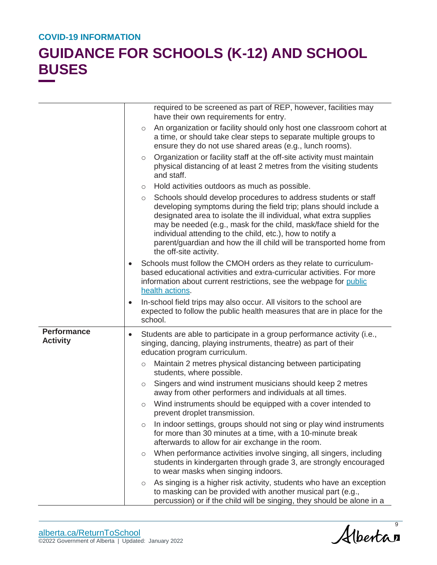|                                       |           | required to be screened as part of REP, however, facilities may<br>have their own requirements for entry.                                                                                                                                                                                                                                                                                                                                               |
|---------------------------------------|-----------|---------------------------------------------------------------------------------------------------------------------------------------------------------------------------------------------------------------------------------------------------------------------------------------------------------------------------------------------------------------------------------------------------------------------------------------------------------|
|                                       |           | An organization or facility should only host one classroom cohort at<br>$\circ$<br>a time, or should take clear steps to separate multiple groups to<br>ensure they do not use shared areas (e.g., lunch rooms).                                                                                                                                                                                                                                        |
|                                       |           | Organization or facility staff at the off-site activity must maintain<br>$\circ$<br>physical distancing of at least 2 metres from the visiting students<br>and staff.                                                                                                                                                                                                                                                                                   |
|                                       |           | Hold activities outdoors as much as possible.<br>$\circ$                                                                                                                                                                                                                                                                                                                                                                                                |
|                                       |           | Schools should develop procedures to address students or staff<br>$\circ$<br>developing symptoms during the field trip; plans should include a<br>designated area to isolate the ill individual, what extra supplies<br>may be needed (e.g., mask for the child, mask/face shield for the<br>individual attending to the child, etc.), how to notify a<br>parent/guardian and how the ill child will be transported home from<br>the off-site activity. |
|                                       | $\bullet$ | Schools must follow the CMOH orders as they relate to curriculum-<br>based educational activities and extra-curricular activities. For more<br>information about current restrictions, see the webpage for public<br>health actions.                                                                                                                                                                                                                    |
|                                       | $\bullet$ | In-school field trips may also occur. All visitors to the school are<br>expected to follow the public health measures that are in place for the<br>school.                                                                                                                                                                                                                                                                                              |
| <b>Performance</b><br><b>Activity</b> | $\bullet$ | Students are able to participate in a group performance activity (i.e.,<br>singing, dancing, playing instruments, theatre) as part of their<br>education program curriculum.                                                                                                                                                                                                                                                                            |
|                                       |           | Maintain 2 metres physical distancing between participating<br>$\circ$<br>students, where possible.                                                                                                                                                                                                                                                                                                                                                     |
|                                       |           | Singers and wind instrument musicians should keep 2 metres<br>$\circ$<br>away from other performers and individuals at all times.                                                                                                                                                                                                                                                                                                                       |
|                                       |           | Wind instruments should be equipped with a cover intended to<br>$\circ$<br>prevent droplet transmission.                                                                                                                                                                                                                                                                                                                                                |
|                                       |           | In indoor settings, groups should not sing or play wind instruments<br>O<br>for more than 30 minutes at a time, with a 10-minute break<br>afterwards to allow for air exchange in the room.                                                                                                                                                                                                                                                             |
|                                       |           | When performance activities involve singing, all singers, including<br>$\circ$<br>students in kindergarten through grade 3, are strongly encouraged<br>to wear masks when singing indoors.                                                                                                                                                                                                                                                              |
|                                       |           | As singing is a higher risk activity, students who have an exception<br>O<br>to masking can be provided with another musical part (e.g.,<br>percussion) or if the child will be singing, they should be alone in a                                                                                                                                                                                                                                      |

Albertas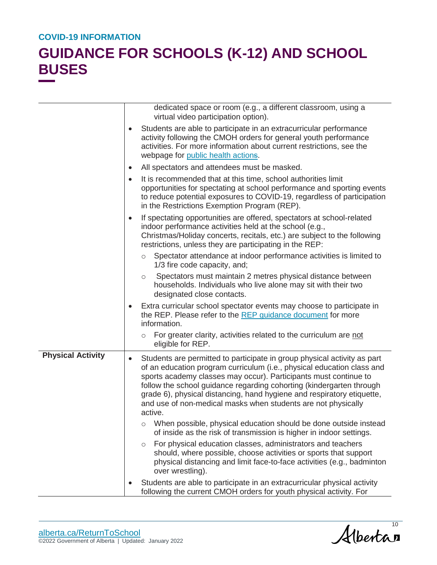|                          |           | dedicated space or room (e.g., a different classroom, using a<br>virtual video participation option).                                                                                                                                                                                                                                                                                                                                                |
|--------------------------|-----------|------------------------------------------------------------------------------------------------------------------------------------------------------------------------------------------------------------------------------------------------------------------------------------------------------------------------------------------------------------------------------------------------------------------------------------------------------|
|                          | $\bullet$ | Students are able to participate in an extracurricular performance<br>activity following the CMOH orders for general youth performance<br>activities. For more information about current restrictions, see the<br>webpage for public health actions.                                                                                                                                                                                                 |
|                          | $\bullet$ | All spectators and attendees must be masked.                                                                                                                                                                                                                                                                                                                                                                                                         |
|                          | $\bullet$ | It is recommended that at this time, school authorities limit<br>opportunities for spectating at school performance and sporting events<br>to reduce potential exposures to COVID-19, regardless of participation<br>in the Restrictions Exemption Program (REP).                                                                                                                                                                                    |
|                          | $\bullet$ | If spectating opportunities are offered, spectators at school-related<br>indoor performance activities held at the school (e.g.,<br>Christmas/Holiday concerts, recitals, etc.) are subject to the following<br>restrictions, unless they are participating in the REP:                                                                                                                                                                              |
|                          |           | Spectator attendance at indoor performance activities is limited to<br>$\circ$<br>1/3 fire code capacity, and;                                                                                                                                                                                                                                                                                                                                       |
|                          |           | Spectators must maintain 2 metres physical distance between<br>$\circ$<br>households. Individuals who live alone may sit with their two<br>designated close contacts.                                                                                                                                                                                                                                                                                |
|                          | $\bullet$ | Extra curricular school spectator events may choose to participate in<br>the REP. Please refer to the REP guidance document for more<br>information.                                                                                                                                                                                                                                                                                                 |
|                          |           | For greater clarity, activities related to the curriculum are not<br>$\circlearrowright$<br>eligible for REP.                                                                                                                                                                                                                                                                                                                                        |
| <b>Physical Activity</b> | $\bullet$ | Students are permitted to participate in group physical activity as part<br>of an education program curriculum (i.e., physical education class and<br>sports academy classes may occur). Participants must continue to<br>follow the school guidance regarding cohorting (kindergarten through<br>grade 6), physical distancing, hand hygiene and respiratory etiquette,<br>and use of non-medical masks when students are not physically<br>active. |
|                          |           | When possible, physical education should be done outside instead<br>$\circ$<br>of inside as the risk of transmission is higher in indoor settings.                                                                                                                                                                                                                                                                                                   |
|                          |           | For physical education classes, administrators and teachers<br>$\circ$<br>should, where possible, choose activities or sports that support<br>physical distancing and limit face-to-face activities (e.g., badminton<br>over wrestling).                                                                                                                                                                                                             |
|                          |           | Students are able to participate in an extracurricular physical activity<br>following the current CMOH orders for youth physical activity. For                                                                                                                                                                                                                                                                                                       |

Albertan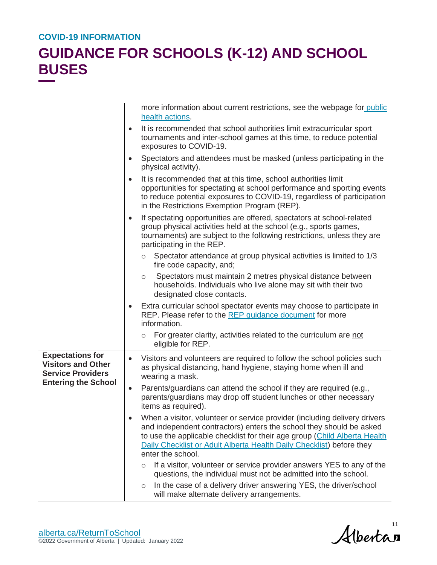|                                                                                  | more information about current restrictions, see the webpage for public<br>health actions.                                                                                                                                                                                                                                              |
|----------------------------------------------------------------------------------|-----------------------------------------------------------------------------------------------------------------------------------------------------------------------------------------------------------------------------------------------------------------------------------------------------------------------------------------|
|                                                                                  | It is recommended that school authorities limit extracurricular sport<br>$\bullet$<br>tournaments and inter-school games at this time, to reduce potential<br>exposures to COVID-19.                                                                                                                                                    |
|                                                                                  | Spectators and attendees must be masked (unless participating in the<br>$\bullet$<br>physical activity).                                                                                                                                                                                                                                |
|                                                                                  | It is recommended that at this time, school authorities limit<br>$\bullet$<br>opportunities for spectating at school performance and sporting events<br>to reduce potential exposures to COVID-19, regardless of participation<br>in the Restrictions Exemption Program (REP).                                                          |
|                                                                                  | If spectating opportunities are offered, spectators at school-related<br>$\bullet$<br>group physical activities held at the school (e.g., sports games,<br>tournaments) are subject to the following restrictions, unless they are<br>participating in the REP.                                                                         |
|                                                                                  | Spectator attendance at group physical activities is limited to 1/3<br>$\circ$<br>fire code capacity, and;                                                                                                                                                                                                                              |
|                                                                                  | Spectators must maintain 2 metres physical distance between<br>$\circ$<br>households. Individuals who live alone may sit with their two<br>designated close contacts.                                                                                                                                                                   |
|                                                                                  | Extra curricular school spectator events may choose to participate in<br>٠<br>REP. Please refer to the REP guidance document for more<br>information.                                                                                                                                                                                   |
|                                                                                  | For greater clarity, activities related to the curriculum are not<br>$\circ$<br>eligible for REP.                                                                                                                                                                                                                                       |
| <b>Expectations for</b><br><b>Visitors and Other</b><br><b>Service Providers</b> | Visitors and volunteers are required to follow the school policies such<br>$\bullet$<br>as physical distancing, hand hygiene, staying home when ill and<br>wearing a mask.                                                                                                                                                              |
| <b>Entering the School</b>                                                       | Parents/guardians can attend the school if they are required (e.g.,<br>$\bullet$<br>parents/guardians may drop off student lunches or other necessary<br>items as required).                                                                                                                                                            |
|                                                                                  | When a visitor, volunteer or service provider (including delivery drivers<br>$\bullet$<br>and independent contractors) enters the school they should be asked<br>to use the applicable checklist for their age group (Child Alberta Health<br>Daily Checklist or Adult Alberta Health Daily Checklist) before they<br>enter the school. |
|                                                                                  | If a visitor, volunteer or service provider answers YES to any of the<br>$\circ$<br>questions, the individual must not be admitted into the school.                                                                                                                                                                                     |
|                                                                                  | In the case of a delivery driver answering YES, the driver/school<br>$\circ$<br>will make alternate delivery arrangements.                                                                                                                                                                                                              |

Albertan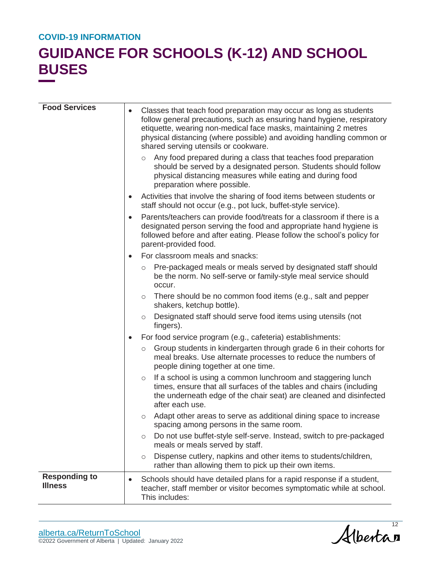| <b>Food Services</b>                   | $\bullet$ | Classes that teach food preparation may occur as long as students<br>follow general precautions, such as ensuring hand hygiene, respiratory<br>etiquette, wearing non-medical face masks, maintaining 2 metres<br>physical distancing (where possible) and avoiding handling common or<br>shared serving utensils or cookware. |
|----------------------------------------|-----------|--------------------------------------------------------------------------------------------------------------------------------------------------------------------------------------------------------------------------------------------------------------------------------------------------------------------------------|
|                                        |           | Any food prepared during a class that teaches food preparation<br>$\circ$<br>should be served by a designated person. Students should follow<br>physical distancing measures while eating and during food<br>preparation where possible.                                                                                       |
|                                        | $\bullet$ | Activities that involve the sharing of food items between students or<br>staff should not occur (e.g., pot luck, buffet-style service).                                                                                                                                                                                        |
|                                        | $\bullet$ | Parents/teachers can provide food/treats for a classroom if there is a<br>designated person serving the food and appropriate hand hygiene is<br>followed before and after eating. Please follow the school's policy for<br>parent-provided food.                                                                               |
|                                        | $\bullet$ | For classroom meals and snacks:                                                                                                                                                                                                                                                                                                |
|                                        |           | Pre-packaged meals or meals served by designated staff should<br>$\circ$<br>be the norm. No self-serve or family-style meal service should<br>occur.                                                                                                                                                                           |
|                                        |           | There should be no common food items (e.g., salt and pepper<br>$\circ$<br>shakers, ketchup bottle).                                                                                                                                                                                                                            |
|                                        |           | Designated staff should serve food items using utensils (not<br>$\circ$<br>fingers).                                                                                                                                                                                                                                           |
|                                        | $\bullet$ | For food service program (e.g., cafeteria) establishments:                                                                                                                                                                                                                                                                     |
|                                        |           | Group students in kindergarten through grade 6 in their cohorts for<br>$\circ$<br>meal breaks. Use alternate processes to reduce the numbers of<br>people dining together at one time.                                                                                                                                         |
|                                        |           | If a school is using a common lunchroom and staggering lunch<br>$\circ$<br>times, ensure that all surfaces of the tables and chairs (including<br>the underneath edge of the chair seat) are cleaned and disinfected<br>after each use.                                                                                        |
|                                        |           | Adapt other areas to serve as additional dining space to increase<br>O<br>spacing among persons in the same room.                                                                                                                                                                                                              |
|                                        |           | Do not use buffet-style self-serve. Instead, switch to pre-packaged<br>O<br>meals or meals served by staff.                                                                                                                                                                                                                    |
|                                        |           | Dispense cutlery, napkins and other items to students/children,<br>$\circ$<br>rather than allowing them to pick up their own items.                                                                                                                                                                                            |
| <b>Responding to</b><br><b>Illness</b> | $\bullet$ | Schools should have detailed plans for a rapid response if a student,<br>teacher, staff member or visitor becomes symptomatic while at school.<br>This includes:                                                                                                                                                               |

Albertan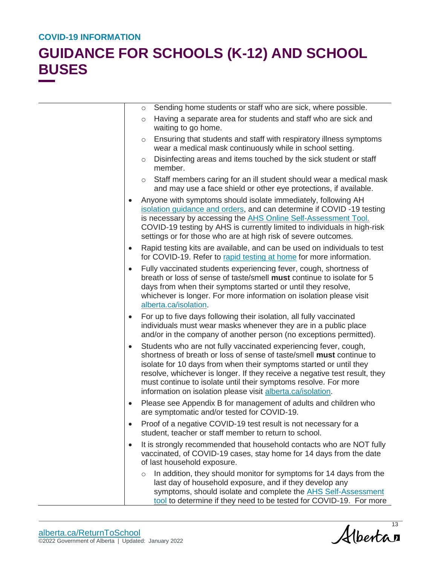|           | Sending home students or staff who are sick, where possible.<br>$\circ$                                                                                                                                                                                                                                                                                                                                                        |
|-----------|--------------------------------------------------------------------------------------------------------------------------------------------------------------------------------------------------------------------------------------------------------------------------------------------------------------------------------------------------------------------------------------------------------------------------------|
|           | Having a separate area for students and staff who are sick and<br>$\circ$<br>waiting to go home.                                                                                                                                                                                                                                                                                                                               |
|           | Ensuring that students and staff with respiratory illness symptoms<br>$\circ$<br>wear a medical mask continuously while in school setting.                                                                                                                                                                                                                                                                                     |
|           | Disinfecting areas and items touched by the sick student or staff<br>$\circ$<br>member.                                                                                                                                                                                                                                                                                                                                        |
|           | Staff members caring for an ill student should wear a medical mask<br>$\circ$<br>and may use a face shield or other eye protections, if available.                                                                                                                                                                                                                                                                             |
| $\bullet$ | Anyone with symptoms should isolate immediately, following AH<br>isolation guidance and orders, and can determine if COVID-19 testing<br>is necessary by accessing the AHS Online Self-Assessment Tool.<br>COVID-19 testing by AHS is currently limited to individuals in high-risk<br>settings or for those who are at high risk of severe outcomes.                                                                          |
| $\bullet$ | Rapid testing kits are available, and can be used on individuals to test<br>for COVID-19. Refer to rapid testing at home for more information.                                                                                                                                                                                                                                                                                 |
| $\bullet$ | Fully vaccinated students experiencing fever, cough, shortness of<br>breath or loss of sense of taste/smell must continue to isolate for 5<br>days from when their symptoms started or until they resolve,<br>whichever is longer. For more information on isolation please visit<br>alberta.ca/isolation.                                                                                                                     |
| $\bullet$ | For up to five days following their isolation, all fully vaccinated<br>individuals must wear masks whenever they are in a public place<br>and/or in the company of another person (no exceptions permitted).                                                                                                                                                                                                                   |
| $\bullet$ | Students who are not fully vaccinated experiencing fever, cough,<br>shortness of breath or loss of sense of taste/smell must continue to<br>isolate for 10 days from when their symptoms started or until they<br>resolve, whichever is longer. If they receive a negative test result, they<br>must continue to isolate until their symptoms resolve. For more<br>information on isolation please visit alberta.ca/isolation. |
| $\bullet$ | Please see Appendix B for management of adults and children who<br>are symptomatic and/or tested for COVID-19.                                                                                                                                                                                                                                                                                                                 |
|           | Proof of a negative COVID-19 test result is not necessary for a<br>student, teacher or staff member to return to school.                                                                                                                                                                                                                                                                                                       |
| $\bullet$ | It is strongly recommended that household contacts who are NOT fully<br>vaccinated, of COVID-19 cases, stay home for 14 days from the date<br>of last household exposure.                                                                                                                                                                                                                                                      |
|           | In addition, they should monitor for symptoms for 14 days from the<br>$\circ$<br>last day of household exposure, and if they develop any<br>symptoms, should isolate and complete the AHS Self-Assessment<br>tool to determine if they need to be tested for COVID-19. For more                                                                                                                                                |

Albertan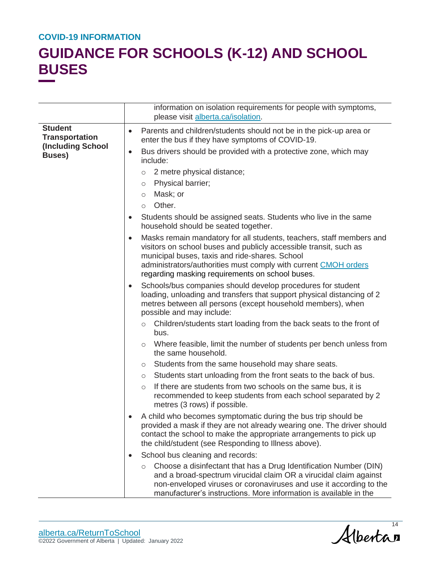|                                                                                |           | information on isolation requirements for people with symptoms,<br>please visit alberta.ca/isolation.                                                                                                                                                                                                             |
|--------------------------------------------------------------------------------|-----------|-------------------------------------------------------------------------------------------------------------------------------------------------------------------------------------------------------------------------------------------------------------------------------------------------------------------|
| <b>Student</b><br><b>Transportation</b><br>(Including School<br><b>Buses</b> ) | $\bullet$ | Parents and children/students should not be in the pick-up area or<br>enter the bus if they have symptoms of COVID-19.                                                                                                                                                                                            |
|                                                                                | $\bullet$ | Bus drivers should be provided with a protective zone, which may<br>include:<br>2 metre physical distance;<br>$\circlearrowright$<br>Physical barrier;<br>$\circ$<br>Mask; or<br>$\circ$<br>Other.<br>$\circ$                                                                                                     |
|                                                                                | $\bullet$ | Students should be assigned seats. Students who live in the same<br>household should be seated together.                                                                                                                                                                                                          |
|                                                                                | $\bullet$ | Masks remain mandatory for all students, teachers, staff members and<br>visitors on school buses and publicly accessible transit, such as<br>municipal buses, taxis and ride-shares. School<br>administrators/authorities must comply with current CMOH orders<br>regarding masking requirements on school buses. |
|                                                                                | $\bullet$ | Schools/bus companies should develop procedures for student<br>loading, unloading and transfers that support physical distancing of 2<br>metres between all persons (except household members), when<br>possible and may include:                                                                                 |
|                                                                                |           | Children/students start loading from the back seats to the front of<br>$\circ$<br>bus.                                                                                                                                                                                                                            |
|                                                                                |           | Where feasible, limit the number of students per bench unless from<br>$\circ$<br>the same household.                                                                                                                                                                                                              |
|                                                                                |           | Students from the same household may share seats.<br>$\circ$                                                                                                                                                                                                                                                      |
|                                                                                |           | Students start unloading from the front seats to the back of bus.<br>$\circ$                                                                                                                                                                                                                                      |
|                                                                                |           | If there are students from two schools on the same bus, it is<br>$\circ$<br>recommended to keep students from each school separated by 2<br>metres (3 rows) if possible.                                                                                                                                          |
|                                                                                |           | A child who becomes symptomatic during the bus trip should be<br>provided a mask if they are not already wearing one. The driver should<br>contact the school to make the appropriate arrangements to pick up<br>the child/student (see Responding to Illness above).                                             |
|                                                                                | $\bullet$ | School bus cleaning and records:                                                                                                                                                                                                                                                                                  |
|                                                                                |           | Choose a disinfectant that has a Drug Identification Number (DIN)<br>$\circ$<br>and a broad-spectrum virucidal claim OR a virucidal claim against<br>non-enveloped viruses or coronaviruses and use it according to the<br>manufacturer's instructions. More information is available in the                      |

Albertan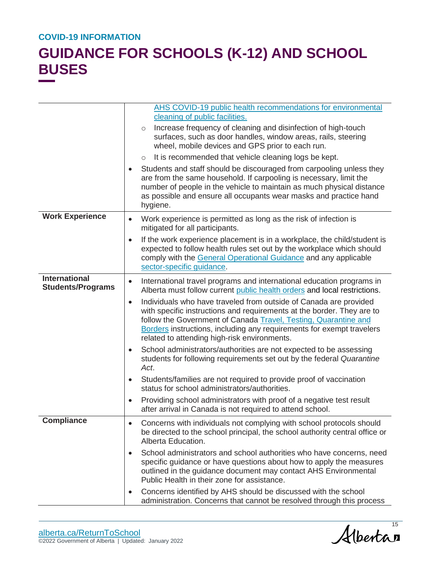|                                                  | <b>AHS COVID-19 public health recommendations for environmental</b><br>cleaning of public facilities.                                                                                                                                                                                                                                                |
|--------------------------------------------------|------------------------------------------------------------------------------------------------------------------------------------------------------------------------------------------------------------------------------------------------------------------------------------------------------------------------------------------------------|
|                                                  | Increase frequency of cleaning and disinfection of high-touch<br>$\circ$<br>surfaces, such as door handles, window areas, rails, steering<br>wheel, mobile devices and GPS prior to each run.                                                                                                                                                        |
|                                                  | It is recommended that vehicle cleaning logs be kept.<br>$\circ$                                                                                                                                                                                                                                                                                     |
|                                                  | Students and staff should be discouraged from carpooling unless they<br>are from the same household. If carpooling is necessary, limit the<br>number of people in the vehicle to maintain as much physical distance<br>as possible and ensure all occupants wear masks and practice hand<br>hygiene.                                                 |
| <b>Work Experience</b>                           | Work experience is permitted as long as the risk of infection is<br>$\bullet$<br>mitigated for all participants.                                                                                                                                                                                                                                     |
|                                                  | If the work experience placement is in a workplace, the child/student is<br>$\bullet$<br>expected to follow health rules set out by the workplace which should<br>comply with the General Operational Guidance and any applicable<br>sector-specific guidance.                                                                                       |
| <b>International</b><br><b>Students/Programs</b> | International travel programs and international education programs in<br>$\bullet$<br>Alberta must follow current public health orders and local restrictions.                                                                                                                                                                                       |
|                                                  | Individuals who have traveled from outside of Canada are provided<br>$\bullet$<br>with specific instructions and requirements at the border. They are to<br>follow the Government of Canada Travel, Testing, Quarantine and<br>Borders instructions, including any requirements for exempt travelers<br>related to attending high-risk environments. |
|                                                  | School administrators/authorities are not expected to be assessing<br>$\bullet$<br>students for following requirements set out by the federal Quarantine<br>Act.                                                                                                                                                                                     |
|                                                  | Students/families are not required to provide proof of vaccination<br>$\bullet$<br>status for school administrators/authorities.                                                                                                                                                                                                                     |
|                                                  | Providing school administrators with proof of a negative test result<br>$\bullet$<br>after arrival in Canada is not required to attend school.                                                                                                                                                                                                       |
| <b>Compliance</b>                                | Concerns with individuals not complying with school protocols should<br>be directed to the school principal, the school authority central office or<br>Alberta Education.                                                                                                                                                                            |
|                                                  | School administrators and school authorities who have concerns, need<br>$\bullet$<br>specific guidance or have questions about how to apply the measures<br>outlined in the guidance document may contact AHS Environmental<br>Public Health in their zone for assistance.                                                                           |
|                                                  | Concerns identified by AHS should be discussed with the school<br>٠<br>administration. Concerns that cannot be resolved through this process                                                                                                                                                                                                         |

Albertan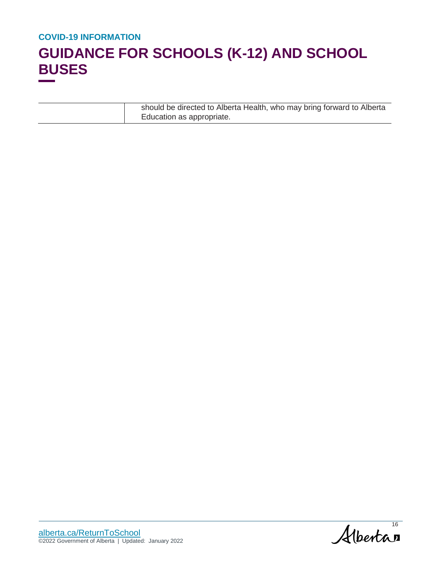| should be directed to Alberta Health, who may bring forward to Alberta |
|------------------------------------------------------------------------|
| Education as appropriate.                                              |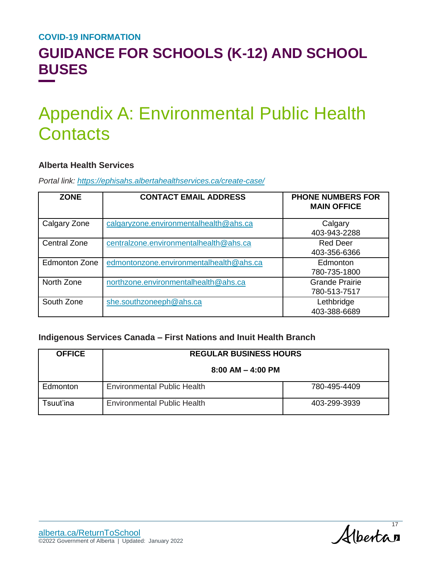### **GUIDANCE FOR SCHOOLS (K-12) AND SCHOOL BUSES**

# Appendix A: Environmental Public Health **Contacts**

#### **Alberta Health Services**

*Portal link: <https://ephisahs.albertahealthservices.ca/create-case/>*

| <b>ZONE</b>          | <b>CONTACT EMAIL ADDRESS</b>            | <b>PHONE NUMBERS FOR</b><br><b>MAIN OFFICE</b> |
|----------------------|-----------------------------------------|------------------------------------------------|
| Calgary Zone         | calgaryzone.environmentalhealth@ahs.ca  | Calgary<br>403-943-2288                        |
| <b>Central Zone</b>  | centralzone.environmentalhealth@ahs.ca  | <b>Red Deer</b><br>403-356-6366                |
| <b>Edmonton Zone</b> | edmontonzone.environmentalhealth@ahs.ca | Edmonton<br>780-735-1800                       |
| North Zone           | northzone.environmentalhealth@ahs.ca    | <b>Grande Prairie</b><br>780-513-7517          |
| South Zone           | she.southzoneeph@ahs.ca                 | Lethbridge<br>403-388-6689                     |

#### **Indigenous Services Canada – First Nations and Inuit Health Branch**

| <b>OFFICE</b> | <b>REGULAR BUSINESS HOURS</b>      |              |  |
|---------------|------------------------------------|--------------|--|
|               | $8:00$ AM $-$ 4:00 PM              |              |  |
| Edmonton      | <b>Environmental Public Health</b> | 780-495-4409 |  |
| Tsuut'ina.    | <b>Environmental Public Health</b> | 403-299-3939 |  |

Albertan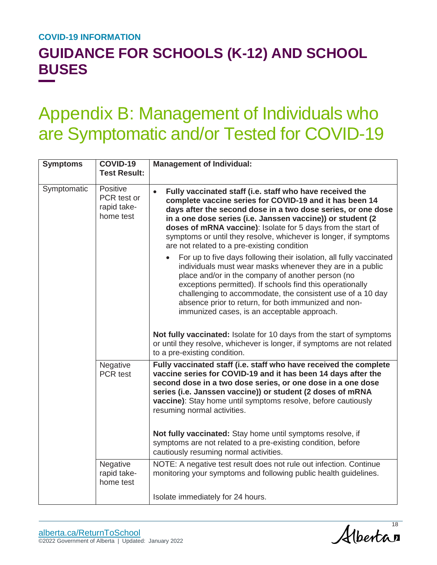## **GUIDANCE FOR SCHOOLS (K-12) AND SCHOOL BUSES**

# Appendix B: Management of Individuals who are Symptomatic and/or Tested for COVID-19

| <b>Symptoms</b> | <b>COVID-19</b><br><b>Test Result:</b>              | <b>Management of Individual:</b>                                                                                                                                                                                                                                                                                                                                                                                                                  |
|-----------------|-----------------------------------------------------|---------------------------------------------------------------------------------------------------------------------------------------------------------------------------------------------------------------------------------------------------------------------------------------------------------------------------------------------------------------------------------------------------------------------------------------------------|
| Symptomatic     | Positive<br>PCR test or<br>rapid take-<br>home test | Fully vaccinated staff (i.e. staff who have received the<br>$\bullet$<br>complete vaccine series for COVID-19 and it has been 14<br>days after the second dose in a two dose series, or one dose<br>in a one dose series (i.e. Janssen vaccine)) or student (2<br>doses of mRNA vaccine): Isolate for 5 days from the start of<br>symptoms or until they resolve, whichever is longer, if symptoms<br>are not related to a pre-existing condition |
|                 |                                                     | For up to five days following their isolation, all fully vaccinated<br>individuals must wear masks whenever they are in a public<br>place and/or in the company of another person (no<br>exceptions permitted). If schools find this operationally<br>challenging to accommodate, the consistent use of a 10 day<br>absence prior to return, for both immunized and non-<br>immunized cases, is an acceptable approach.                           |
|                 |                                                     | Not fully vaccinated: Isolate for 10 days from the start of symptoms<br>or until they resolve, whichever is longer, if symptoms are not related<br>to a pre-existing condition.                                                                                                                                                                                                                                                                   |
|                 | Negative<br>PCR test                                | Fully vaccinated staff (i.e. staff who have received the complete<br>vaccine series for COVID-19 and it has been 14 days after the<br>second dose in a two dose series, or one dose in a one dose<br>series (i.e. Janssen vaccine)) or student (2 doses of mRNA<br>vaccine): Stay home until symptoms resolve, before cautiously<br>resuming normal activities.                                                                                   |
|                 |                                                     | Not fully vaccinated: Stay home until symptoms resolve, if<br>symptoms are not related to a pre-existing condition, before<br>cautiously resuming normal activities.                                                                                                                                                                                                                                                                              |
|                 | Negative<br>rapid take-<br>home test                | NOTE: A negative test result does not rule out infection. Continue<br>monitoring your symptoms and following public health guidelines.                                                                                                                                                                                                                                                                                                            |
|                 |                                                     | Isolate immediately for 24 hours.                                                                                                                                                                                                                                                                                                                                                                                                                 |

Alberta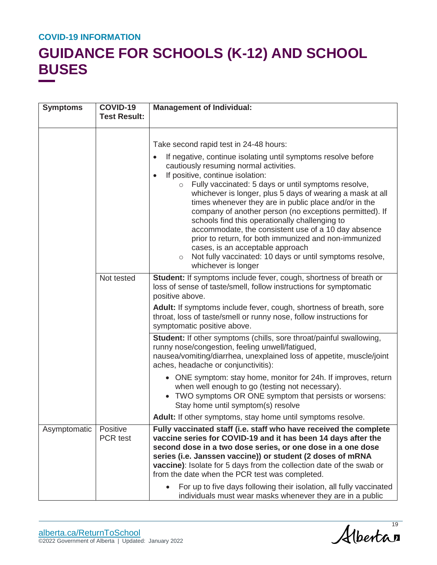| <b>Symptoms</b> | COVID-19<br><b>Test Result:</b> | <b>Management of Individual:</b>                                                                                                                                                                                                                                                                                                                                                                                                                                                                                                                                                                                                                                                                                                                          |
|-----------------|---------------------------------|-----------------------------------------------------------------------------------------------------------------------------------------------------------------------------------------------------------------------------------------------------------------------------------------------------------------------------------------------------------------------------------------------------------------------------------------------------------------------------------------------------------------------------------------------------------------------------------------------------------------------------------------------------------------------------------------------------------------------------------------------------------|
|                 |                                 | Take second rapid test in 24-48 hours:<br>If negative, continue isolating until symptoms resolve before<br>$\bullet$<br>cautiously resuming normal activities.<br>If positive, continue isolation:<br>Fully vaccinated: 5 days or until symptoms resolve,<br>$\circ$<br>whichever is longer, plus 5 days of wearing a mask at all<br>times whenever they are in public place and/or in the<br>company of another person (no exceptions permitted). If<br>schools find this operationally challenging to<br>accommodate, the consistent use of a 10 day absence<br>prior to return, for both immunized and non-immunized<br>cases, is an acceptable approach<br>Not fully vaccinated: 10 days or until symptoms resolve,<br>$\circ$<br>whichever is longer |
|                 | Not tested                      | Student: If symptoms include fever, cough, shortness of breath or<br>loss of sense of taste/smell, follow instructions for symptomatic<br>positive above.<br>Adult: If symptoms include fever, cough, shortness of breath, sore<br>throat, loss of taste/smell or runny nose, follow instructions for<br>symptomatic positive above.                                                                                                                                                                                                                                                                                                                                                                                                                      |
|                 |                                 | Student: If other symptoms (chills, sore throat/painful swallowing,<br>runny nose/congestion, feeling unwell/fatigued,<br>nausea/vomiting/diarrhea, unexplained loss of appetite, muscle/joint<br>aches, headache or conjunctivitis):                                                                                                                                                                                                                                                                                                                                                                                                                                                                                                                     |
|                 |                                 | • ONE symptom: stay home, monitor for 24h. If improves, return<br>when well enough to go (testing not necessary).<br>TWO symptoms OR ONE symptom that persists or worsens:<br>$\bullet$<br>Stay home until symptom(s) resolve                                                                                                                                                                                                                                                                                                                                                                                                                                                                                                                             |
|                 |                                 | Adult: If other symptoms, stay home until symptoms resolve.                                                                                                                                                                                                                                                                                                                                                                                                                                                                                                                                                                                                                                                                                               |
| Asymptomatic    | Positive<br>PCR test            | Fully vaccinated staff (i.e. staff who have received the complete<br>vaccine series for COVID-19 and it has been 14 days after the<br>second dose in a two dose series, or one dose in a one dose<br>series (i.e. Janssen vaccine)) or student (2 doses of mRNA<br>vaccine): Isolate for 5 days from the collection date of the swab or<br>from the date when the PCR test was completed.<br>For up to five days following their isolation, all fully vaccinated                                                                                                                                                                                                                                                                                          |
|                 |                                 | individuals must wear masks whenever they are in a public                                                                                                                                                                                                                                                                                                                                                                                                                                                                                                                                                                                                                                                                                                 |

Albertan